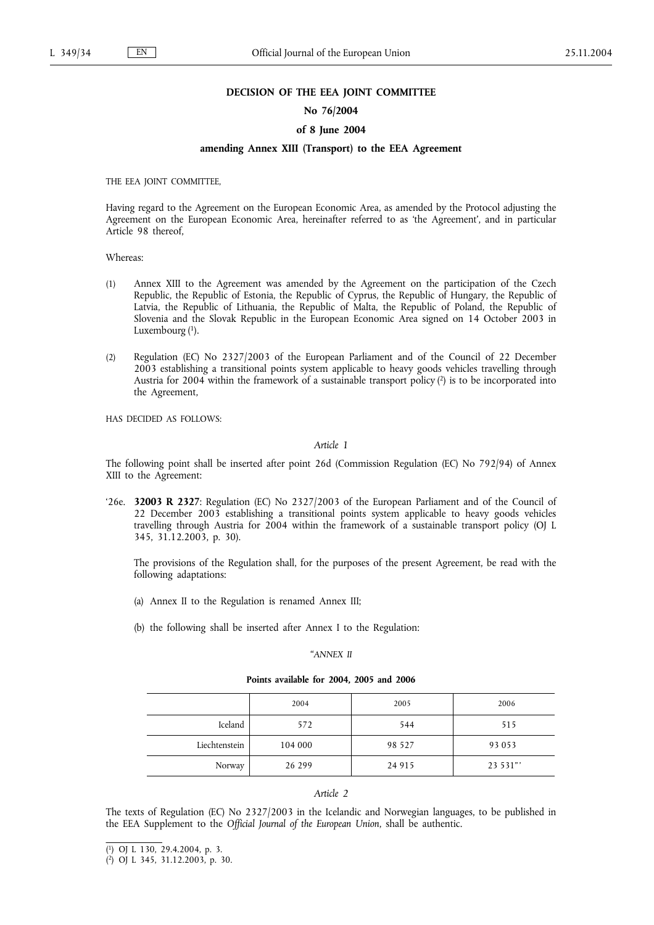#### **DECISION OF THE EEA JOINT COMMITTEE**

## **No 76/2004**

#### **of 8 June 2004**

### **amending Annex XIII (Transport) to the EEA Agreement**

THE EEA JOINT COMMITTEE,

Having regard to the Agreement on the European Economic Area, as amended by the Protocol adjusting the Agreement on the European Economic Area, hereinafter referred to as 'the Agreement', and in particular Article 98 thereof,

# Whereas:

- (1) Annex XIII to the Agreement was amended by the Agreement on the participation of the Czech Republic, the Republic of Estonia, the Republic of Cyprus, the Republic of Hungary, the Republic of Latvia, the Republic of Lithuania, the Republic of Malta, the Republic of Poland, the Republic of Slovenia and the Slovak Republic in the European Economic Area signed on 14 October 2003 in Luxembourg (1).
- (2) Regulation (EC) No 2327/2003 of the European Parliament and of the Council of 22 December 2003 establishing a transitional points system applicable to heavy goods vehicles travelling through Austria for 2004 within the framework of a sustainable transport policy (2) is to be incorporated into the Agreement,

HAS DECIDED AS FOLLOWS:

#### *Article 1*

The following point shall be inserted after point 26d (Commission Regulation (EC) No 792/94) of Annex XIII to the Agreement:

'26e. **32003 R 2327**: Regulation (EC) No 2327/2003 of the European Parliament and of the Council of 22 December 2003 establishing a transitional points system applicable to heavy goods vehicles travelling through Austria for 2004 within the framework of a sustainable transport policy (OJ L 345, 31.12.2003, p. 30).

The provisions of the Regulation shall, for the purposes of the present Agreement, be read with the following adaptations:

- (a) Annex II to the Regulation is renamed Annex III;
- (b) the following shall be inserted after Annex I to the Regulation:

#### *"ANNEX II*

**Points available for 2004, 2005 and 2006**

|               | 2004    | 2005    | 2006     |
|---------------|---------|---------|----------|
| Iceland       | 572     | 544     | 515      |
| Liechtenstein | 104 000 | 98 5 27 | 93 053   |
| Norway        | 26 299  | 24 9 15 | 23 531"' |

#### *Article 2*

The texts of Regulation (EC) No 2327/2003 in the Icelandic and Norwegian languages, to be published in the EEA Supplement to the *Official Journal of the European Union*, shall be authentic.

$$
(^{1})
$$
 *OJ L 130, 29.4.2004, p. 3.*

<sup>(</sup> 2) OJ L 345, 31.12.2003, p. 30.